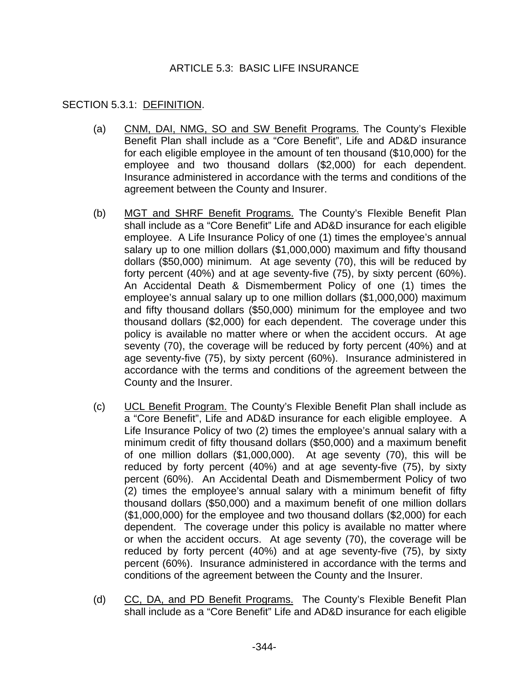## ARTICLE 5.3: BASIC LIFE INSURANCE

## SECTION 5.3.1: DEFINITION.

- (a) CNM, DAI, NMG, SO and SW Benefit Programs. The County's Flexible Benefit Plan shall include as a "Core Benefit", Life and AD&D insurance for each eligible employee in the amount of ten thousand (\$10,000) for the employee and two thousand dollars (\$2,000) for each dependent. Insurance administered in accordance with the terms and conditions of the agreement between the County and Insurer.
- (b) MGT and SHRF Benefit Programs. The County's Flexible Benefit Plan shall include as a "Core Benefit" Life and AD&D insurance for each eligible employee. A Life Insurance Policy of one (1) times the employee's annual salary up to one million dollars (\$1,000,000) maximum and fifty thousand dollars (\$50,000) minimum. At age seventy (70), this will be reduced by forty percent (40%) and at age seventy-five (75), by sixty percent (60%). An Accidental Death & Dismemberment Policy of one (1) times the employee's annual salary up to one million dollars (\$1,000,000) maximum and fifty thousand dollars (\$50,000) minimum for the employee and two thousand dollars (\$2,000) for each dependent. The coverage under this policy is available no matter where or when the accident occurs. At age seventy (70), the coverage will be reduced by forty percent (40%) and at age seventy-five (75), by sixty percent (60%). Insurance administered in accordance with the terms and conditions of the agreement between the County and the Insurer.
- (c) UCL Benefit Program. The County's Flexible Benefit Plan shall include as a "Core Benefit", Life and AD&D insurance for each eligible employee. A Life Insurance Policy of two (2) times the employee's annual salary with a minimum credit of fifty thousand dollars (\$50,000) and a maximum benefit of one million dollars (\$1,000,000). At age seventy (70), this will be reduced by forty percent (40%) and at age seventy-five (75), by sixty percent (60%). An Accidental Death and Dismemberment Policy of two (2) times the employee's annual salary with a minimum benefit of fifty thousand dollars (\$50,000) and a maximum benefit of one million dollars (\$1,000,000) for the employee and two thousand dollars (\$2,000) for each dependent. The coverage under this policy is available no matter where or when the accident occurs. At age seventy (70), the coverage will be reduced by forty percent (40%) and at age seventy-five (75), by sixty percent (60%). Insurance administered in accordance with the terms and conditions of the agreement between the County and the Insurer.
- (d) CC, DA, and PD Benefit Programs. The County's Flexible Benefit Plan shall include as a "Core Benefit" Life and AD&D insurance for each eligible